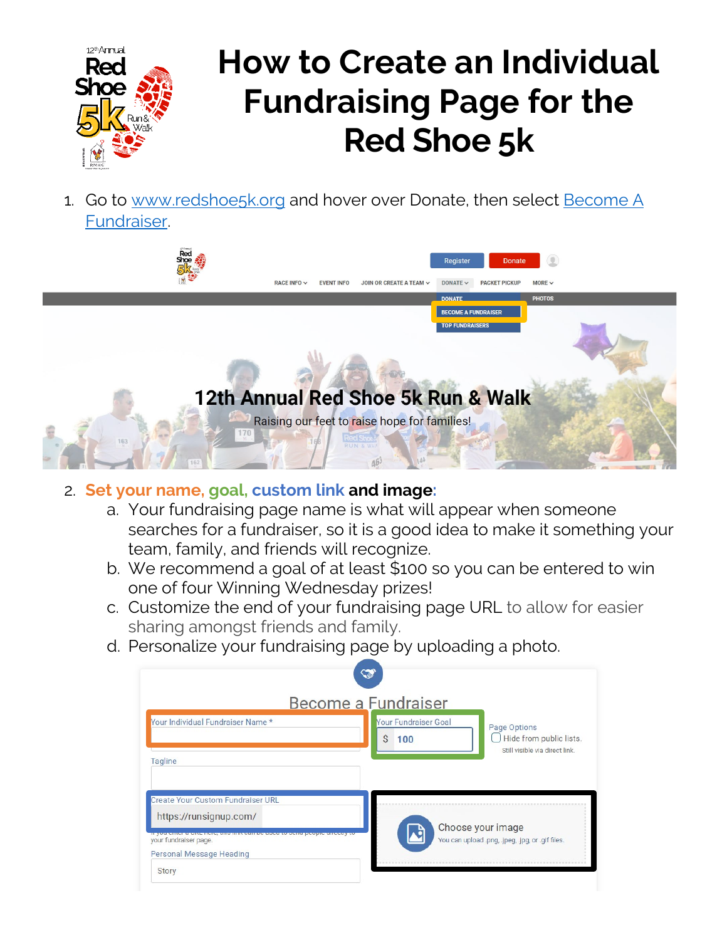

# **How to Create an Individual Fundraising Page for the Red Shoe 5k**

1. Go to [www.redshoe5k.org](http://www.redshoe5k.org/) and hover over Donate, then select [Become A](https://runsignup.com/Race/Donate/126869/BecomeFundraiser)  [Fundraiser.](https://runsignup.com/Race/Donate/126869/BecomeFundraiser)



## 2. **Set your name, goal, custom link and image:**

- a. Your fundraising page name is what will appear when someone searches for a fundraiser, so it is a good idea to make it something your team, family, and friends will recognize.
- b. We recommend a goal of at least \$100 so you can be entered to win one of four Winning Wednesday prizes!
- c. Customize the end of your fundraising page URL to allow for easier sharing amongst friends and family.
- d. Personalize your fundraising page by uploading a photo.

|                                                                    | Become a Fundraiser                     |                                                                                     |
|--------------------------------------------------------------------|-----------------------------------------|-------------------------------------------------------------------------------------|
| Your Individual Fundraiser Name *                                  | <b>Your Fundraiser Goal</b><br>Ś<br>100 | Page Options<br>$\bigcup$ Hide from public lists.<br>Still visible via direct link. |
| Tagline                                                            |                                         |                                                                                     |
| <b>Create Your Custom Fundraiser URL</b><br>https://runsignup.com/ |                                         |                                                                                     |
| your fundraiser page.<br>Personal Message Heading                  |                                         | Choose your image<br>You can upload .png, .jpeg, .jpg, or .gif files.               |
| <b>Story</b>                                                       |                                         |                                                                                     |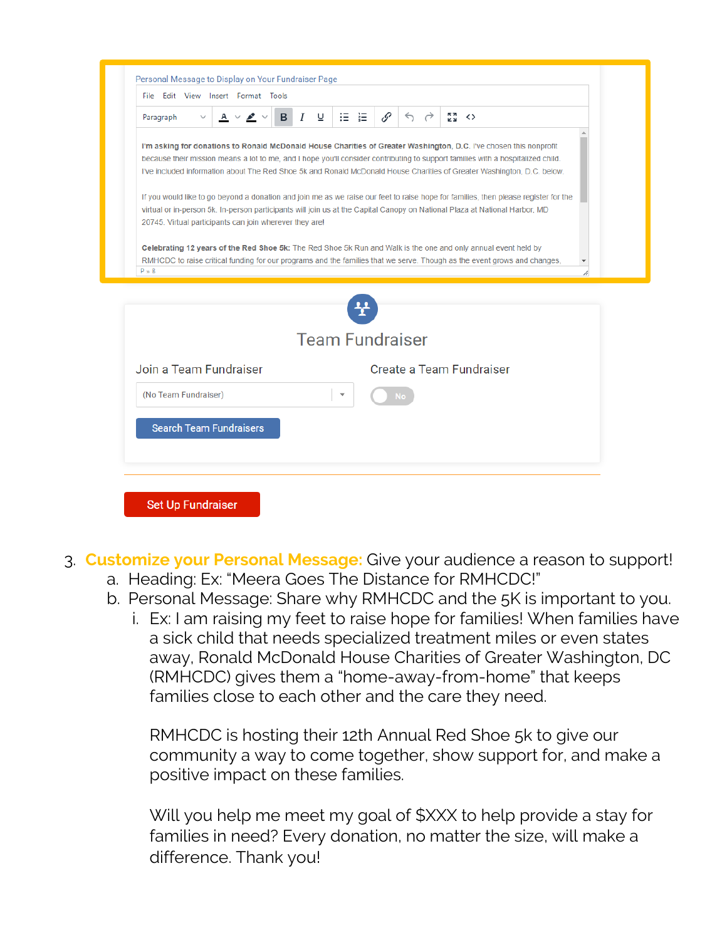| File Edit View Insert Format Tools                                                                                                                                                                                                                                                                                                                                              |                        |      |   |                                     |  |                                                |  |  |
|---------------------------------------------------------------------------------------------------------------------------------------------------------------------------------------------------------------------------------------------------------------------------------------------------------------------------------------------------------------------------------|------------------------|------|---|-------------------------------------|--|------------------------------------------------|--|--|
| $A \vee P$<br>в<br>Paragraph<br>$\checkmark$                                                                                                                                                                                                                                                                                                                                    | I<br>⊻                 | 狂 狂! | P | $\leftrightarrow$ $\leftrightarrow$ |  | $\begin{array}{cc} 5 & 4 \\ 6 & 3 \end{array}$ |  |  |
| I'm asking for donations to Ronald McDonald House Charities of Greater Washington, D.C. I've chosen this nonprofit<br>because their mission means a lot to me, and I hope you'll consider contributing to support families with a hospitalized child.<br>I've included information about The Red Shoe 5k and Ronald McDonald House Charities of Greater Washington, D.C. below. |                        |      |   |                                     |  |                                                |  |  |
| If you would like to go beyond a donation and join me as we raise our feet to raise hope for families, then please register for the<br>virtual or in-person 5k. In-person participants will join us at the Capital Canopy on National Plaza at National Harbor, MD<br>20745. Virtual participants can join wherever they are!                                                   |                        |      |   |                                     |  |                                                |  |  |
| Celebrating 12 years of the Red Shoe 5k: The Red Shoe 5k Run and Walk is the one and only annual event held by<br>RMHCDC to raise critical funding for our programs and the families that we serve. Though as the event grows and changes,<br>$P \gg B$                                                                                                                         |                        |      |   |                                     |  |                                                |  |  |
|                                                                                                                                                                                                                                                                                                                                                                                 |                        |      |   |                                     |  |                                                |  |  |
|                                                                                                                                                                                                                                                                                                                                                                                 |                        |      |   |                                     |  |                                                |  |  |
|                                                                                                                                                                                                                                                                                                                                                                                 | <b>Team Fundraiser</b> |      |   |                                     |  |                                                |  |  |
| Join a Team Fundraiser                                                                                                                                                                                                                                                                                                                                                          |                        |      |   |                                     |  | Create a Team Fundraiser                       |  |  |
| (No Team Fundraiser)                                                                                                                                                                                                                                                                                                                                                            |                        |      |   | <b>No</b>                           |  |                                                |  |  |
| <b>Search Team Fundraisers</b>                                                                                                                                                                                                                                                                                                                                                  |                        |      |   |                                     |  |                                                |  |  |

- 3. **Customize your Personal Message:** Give your audience a reason to support! a. Heading: Ex: "Meera Goes The Distance for RMHCDC!"
	- b. Personal Message: Share why RMHCDC and the 5K is important to you.
		- i. Ex: I am raising my feet to raise hope for families! When families have a sick child that needs specialized treatment miles or even states away, Ronald McDonald House Charities of Greater Washington, DC (RMHCDC) gives them a "home-away-from-home" that keeps families close to each other and the care they need.

RMHCDC is hosting their 12th Annual Red Shoe 5k to give our community a way to come together, show support for, and make a positive impact on these families.

Will you help me meet my goal of \$XXX to help provide a stay for families in need? Every donation, no matter the size, will make a difference. Thank you!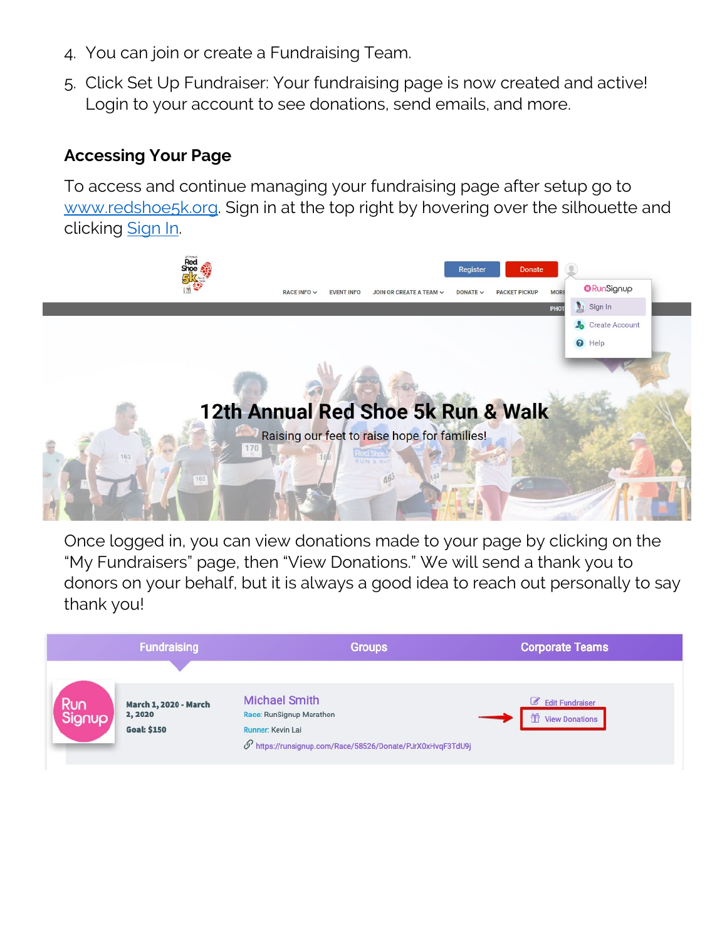- 4. You can join or create a Fundraising Team.
- 5. Click Set Up Fundraiser: Your fundraising page is now created and active! Login to your account to see donations, send emails, and more.

## **Accessing Your Page**

To access and continue managing your fundraising page after setup go to [www.redshoe5k.org.](http://www.redshoe5k.org/) Sign in at the top right by hovering over the silhouette and clicking [Sign In.](https://runsignup.com/Login)



Once logged in, you can view donations made to your page by clicking on the "My Fundraisers" page, then "View Donations." We will send a thank you to donors on your behalf, but it is always a good idea to reach out personally to say thank you!

|               | <b>Fundraising</b>                     | <b>Groups</b>                                                           | <b>Corporate Teams</b>                               |
|---------------|----------------------------------------|-------------------------------------------------------------------------|------------------------------------------------------|
|               |                                        |                                                                         |                                                      |
| Run<br>Signup | <b>March 1, 2020 - March</b><br>2,2020 | <b>Michael Smith</b><br>Race: RunSignup Marathon                        | <b>Edit Fundraiser</b><br>甾<br><b>View Donations</b> |
|               | <b>Goal: \$150</b>                     | Runner: Kevin Lai                                                       |                                                      |
|               |                                        | $\mathcal{O}'$ https://runsignup.com/Race/58526/Donate/PJrX0xHvqF3TdU9j |                                                      |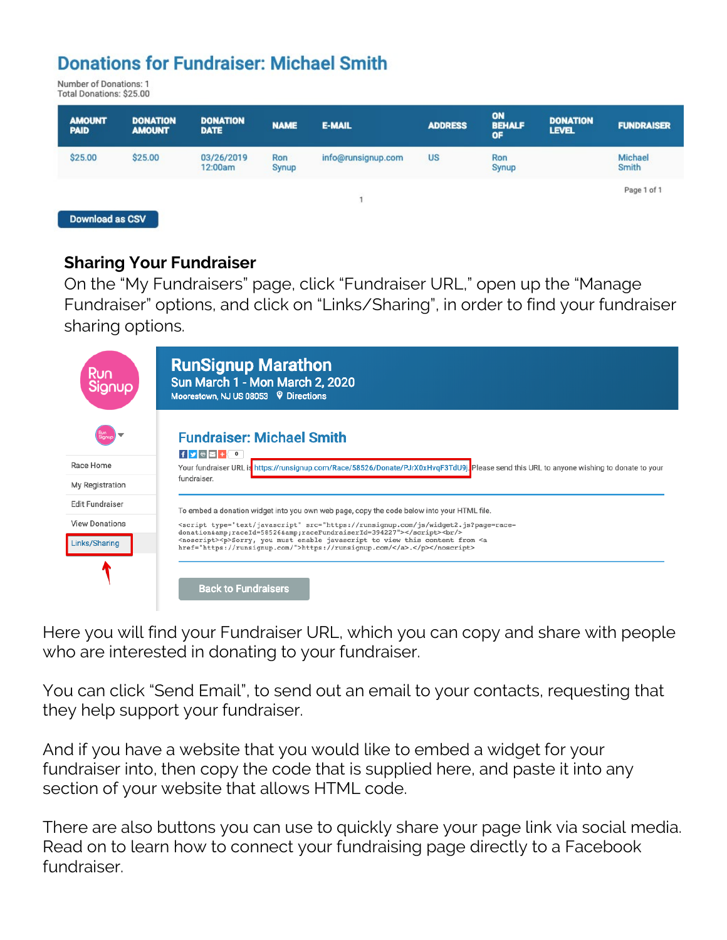## **Donations for Fundraiser: Michael Smith**

Number of Donations: 1 Total Donations: \$25.00

| <b>AMOUNT</b><br><b>PAID</b> | <b>DONATION</b><br><b>AMOUNT</b> | <b>DONATION</b><br><b>DATE</b> | <b>NAME</b>  | <b>E-MAIL</b>      | <b>ADDRESS</b> | ON<br><b>BEHALF</b><br>OF | <b>DONATION</b><br><b>LEVEL</b> | <b>FUNDRAISER</b> |
|------------------------------|----------------------------------|--------------------------------|--------------|--------------------|----------------|---------------------------|---------------------------------|-------------------|
| \$25.00                      | \$25.00                          | 03/26/2019<br>12:00am          | Ron<br>Synup | info@runsignup.com | <b>US</b>      | Ron<br>Synup              |                                 | Michael<br>Smith  |
| Download as CSV              |                                  |                                |              |                    |                |                           |                                 | Page 1 of 1       |

#### **Sharing Your Fundraiser**

On the "My Fundraisers" page, click "Fundraiser URL," open up the "Manage Fundraiser" options, and click on "Links/Sharing", in order to find your fundraiser sharing options.

| <b>Run</b><br>Signup                      | <b>RunSignup Marathon</b><br>Sun March 1 - Mon March 2, 2020<br>Moorestown, NJ US 08053 9 Directions                                                                                                                                                                |
|-------------------------------------------|---------------------------------------------------------------------------------------------------------------------------------------------------------------------------------------------------------------------------------------------------------------------|
| Race Home                                 | <b>Fundraiser: Michael Smith</b><br>$f$ $\bullet$ $\bullet$ $f$ $\bullet$<br>Your fundraiser URL is https://runsignup.com/Race/58526/Donate/PJrX0xHvgF3TdU9j. Please send this URL to anyone wishing to donate to your                                              |
| My Registration<br><b>Edit Fundraiser</b> | fundraiser.                                                                                                                                                                                                                                                         |
| <b>View Donations</b>                     | To embed a donation widget into you own web page, copy the code below into your HTML file.<br><script src="https://runsignup.com/js/widget2.js?page=race-&lt;br&gt;donation&amp;raceId=58526&amp;raceFundraiserId=394227" type="text/javascript"></script><br>>br/> |
| Links/Sharing                             | <noscript><p>Sorry, you must enable javascript to view this content from <a<br>href="https://runsignup.com/"&gt;https://runsignup.com/.</a<br></p></noscript>                                                                                                       |
|                                           | <b>Back to Fundraisers</b>                                                                                                                                                                                                                                          |

Here you will find your Fundraiser URL, which you can copy and share with people who are interested in donating to your fundraiser.

You can click "Send Email", to send out an email to your contacts, requesting that they help support your fundraiser.

And if you have a website that you would like to embed a widget for your fundraiser into, then copy the code that is supplied here, and paste it into any section of your website that allows HTML code.

There are also buttons you can use to quickly share your page link via social media. Read on to learn how to connect your fundraising page directly to a Facebook fundraiser.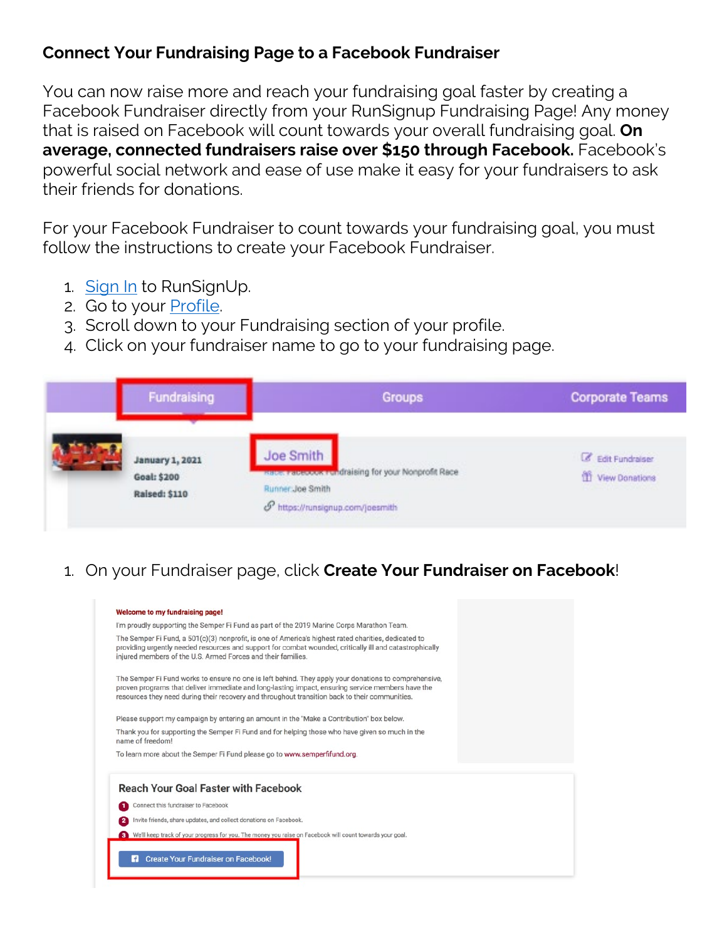## **Connect Your Fundraising Page to a Facebook Fundraiser**

You can now raise more and reach your fundraising goal faster by creating a Facebook Fundraiser directly from your RunSignup Fundraising Page! Any money that is raised on Facebook will count towards your overall fundraising goal. **On average, connected fundraisers raise over \$150 through Facebook.** Facebook's powerful social network and ease of use make it easy for your fundraisers to ask their friends for donations.

For your Facebook Fundraiser to count towards your fundraising goal, you must follow the instructions to create your Facebook Fundraiser.

- 1. [Sign In](https://runsignup.com/Login) to RunSignUp.
- 2. Go to your [Profile.](https://runsignup.com/Profile)
- 3. Scroll down to your Fundraising section of your profile.
- 4. Click on your fundraiser name to go to your fundraising page.

| Fundraising                                                          | <b>Groups</b>                                                                                                            | <b>Corporate Teams</b>                         |
|----------------------------------------------------------------------|--------------------------------------------------------------------------------------------------------------------------|------------------------------------------------|
| <b>January 1, 2021</b><br><b>Goal: \$200</b><br><b>Raised: \$110</b> | Joe Smith<br>Hace: Facebook Fundraising for your Nonprofit Race<br>Runner: Joe Smith<br>P https://runsignup.com/joesmith | <b>&amp;</b> Edit Fundraiser<br>View Donations |

1. On your Fundraiser page, click **Create Your Fundraiser on Facebook**!